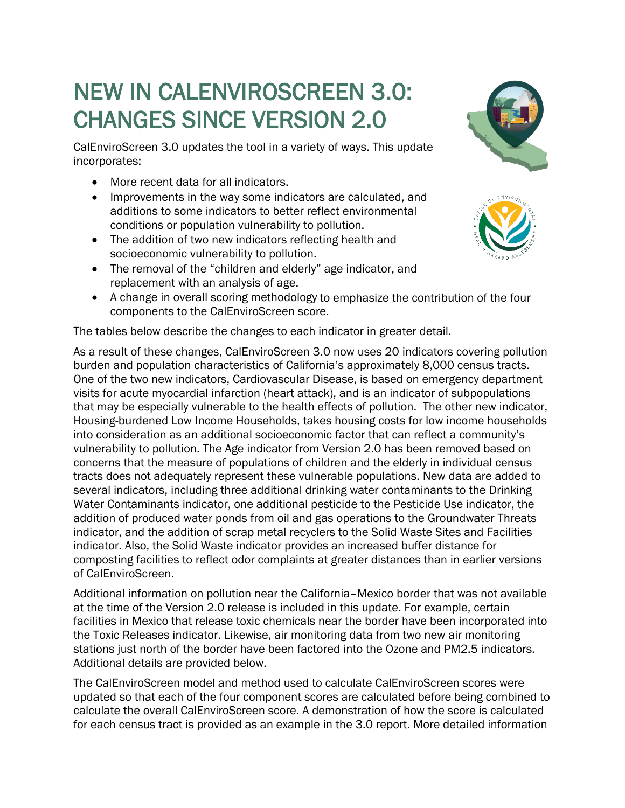# NEW IN CALENVIROSCREEN 3.0: CHANGES SINCE VERSION 2.0<br>CalEnviroScreen 3.0 updates the tool in a variety of ways. This update

incorporates:

- More recent data for all indicators.
- Improvements in the way some indicators are calculated, and additions to some indicators to better reflect environmental conditions or population vulnerability to pollution.
- The addition of two new indicators reflecting health and socioeconomic vulnerability to pollution.
- The removal of the "children and elderly" age indicator, and replacement with an analysis of age.
- A change in overall scoring methodology to emphasize the contribution of the four components to the CalEnviroScreen score.

The tables below describe the changes to each indicator in greater detail.

As a result of these changes, CalEnviroScreen 3.0 now uses 20 indicators covering pollution burden and population characteristics of California's approximately 8,000 census tracts. One of the two new indicators, Cardiovascular Disease, is based on emergency department visits for acute myocardial infarction (heart attack), and is an indicator of subpopulations that may be especially vulnerable to the health effects of pollution. The other new indicator, Housing-burdened Low Income Households, takes housing costs for low income households into consideration as an additional socioeconomic factor that can reflect a community's vulnerability to pollution. The Age indicator from Version 2.0 has been removed based on concerns that the measure of populations of children and the elderly in individual census tracts does not adequately represent these vulnerable populations. New data are added to several indicators, including three additional drinking water contaminants to the Drinking Water Contaminants indicator, one additional pesticide to the Pesticide Use indicator, the addition of produced water ponds from oil and gas operations to the Groundwater Threats indicator, and the addition of scrap metal recyclers to the Solid Waste Sites and Facilities indicator. Also, the Solid Waste indicator provides an increased buffer distance for composting facilities to reflect odor complaints at greater distances than in earlier versions of CalEnviroScreen.

Additional information on pollution near the California–Mexico border that was not available at the time of the Version 2.0 release is included in this update. For example, certain facilities in Mexico that release toxic chemicals near the border have been incorporated into the Toxic Releases indicator. Likewise, air monitoring data from two new air monitoring stations just north of the border have been factored into the Ozone and PM2.5 indicators. Additional details are provided below.

The CalEnviroScreen model and method used to calculate CalEnviroScreen scores were updated so that each of the four component scores are calculated before being combined to calculate the overall CalEnviroScreen score. A demonstration of how the score is calculated for each census tract is provided as an example in the 3.0 report. More detailed information



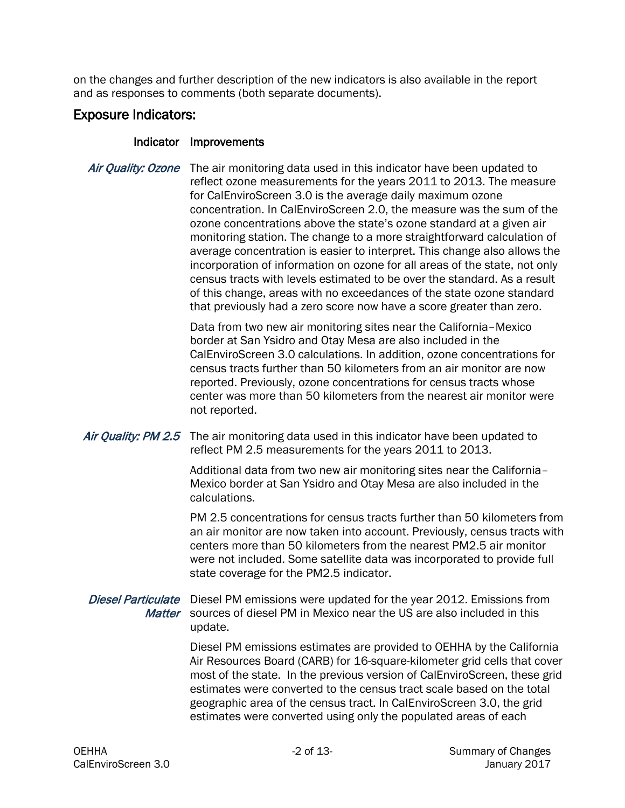on the changes and further description of the new indicators is also available in the report and as responses to comments (both separate documents).

# Exposure Indicators:

#### Indicator Improvements

Air Quality: Ozone The air monitoring data used in this indicator have been updated to reflect ozone measurements for the years 2011 to 2013. The measure for CalEnviroScreen 3.0 is the average daily maximum ozone concentration. In CalEnviroScreen 2.0, the measure was the sum of the ozone concentrations above the state's ozone standard at a given air monitoring station. The change to a more straightforward calculation of average concentration is easier to interpret. This change also allows the incorporation of information on ozone for all areas of the state, not only census tracts with levels estimated to be over the standard. As a result of this change, areas with no exceedances of the state ozone standard that previously had a zero score now have a score greater than zero.

> Data from two new air monitoring sites near the California–Mexico border at San Ysidro and Otay Mesa are also included in the CalEnviroScreen 3.0 calculations. In addition, ozone concentrations for census tracts further than 50 kilometers from an air monitor are now reported. Previously, ozone concentrations for census tracts whose center was more than 50 kilometers from the nearest air monitor were not reported.

#### Air Quality: PM 2.5 The air monitoring data used in this indicator have been updated to reflect PM 2.5 measurements for the years 2011 to 2013.

Additional data from two new air monitoring sites near the California– Mexico border at San Ysidro and Otay Mesa are also included in the calculations.

PM 2.5 concentrations for census tracts further than 50 kilometers from an air monitor are now taken into account. Previously, census tracts with centers more than 50 kilometers from the nearest PM2.5 air monitor were not included. Some satellite data was incorporated to provide full state coverage for the PM2.5 indicator.

Diesel Particulate Diesel PM emissions were updated for the year 2012. Emissions from Matter sources of diesel PM in Mexico near the US are also included in this update.

> Diesel PM emissions estimates are provided to OEHHA by the California Air Resources Board (CARB) for 16-square-kilometer grid cells that cover most of the state. In the previous version of CalEnviroScreen, these grid estimates were converted to the census tract scale based on the total geographic area of the census tract. In CalEnviroScreen 3.0, the grid estimates were converted using only the populated areas of each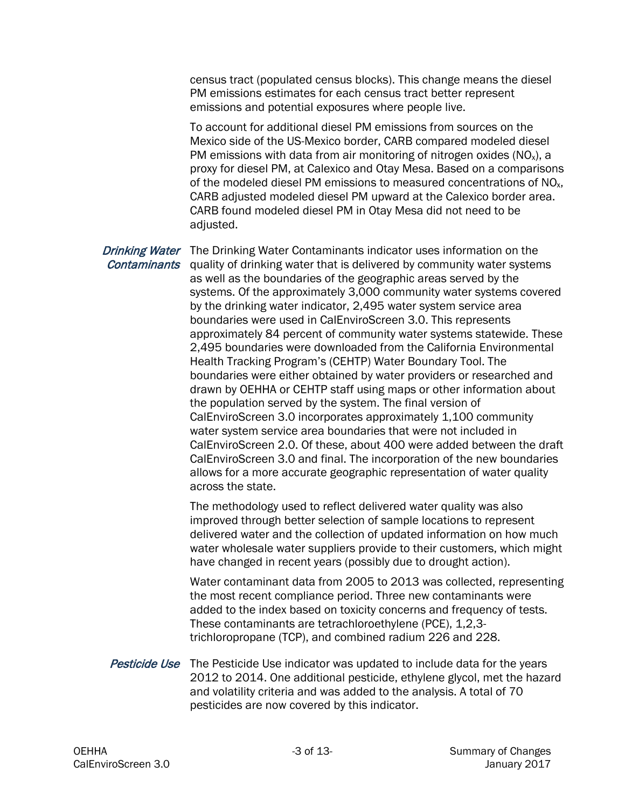census tract (populated census blocks). This change means the diesel PM emissions estimates for each census tract better represent emissions and potential exposures where people live.

To account for additional diesel PM emissions from sources on the Mexico side of the US-Mexico border, CARB compared modeled diesel PM emissions with data from air monitoring of nitrogen oxides  $(NO<sub>x</sub>)$ , a proxy for diesel PM, at Calexico and Otay Mesa. Based on a comparisons of the modeled diesel PM emissions to measured concentrations of NO<sub>x</sub>, CARB adjusted modeled diesel PM upward at the Calexico border area. CARB found modeled diesel PM in Otay Mesa did not need to be adjusted.

Drinking Water The Drinking Water Contaminants indicator uses information on the **Contaminants** quality of drinking water that is delivered by community water systems as well as the boundaries of the geographic areas served by the systems. Of the approximately 3,000 community water systems covered by the drinking water indicator, 2,495 water system service area boundaries were used in CalEnviroScreen 3.0. This represents approximately 84 percent of community water systems statewide. These 2,495 boundaries were downloaded from the California Environmental Health Tracking Program's (CEHTP) Water Boundary Tool. The boundaries were either obtained by water providers or researched and drawn by OEHHA or CEHTP staff using maps or other information about the population served by the system. The final version of CalEnviroScreen 3.0 incorporates approximately 1,100 community water system service area boundaries that were not included in CalEnviroScreen 2.0. Of these, about 400 were added between the draft CalEnviroScreen 3.0 and final. The incorporation of the new boundaries allows for a more accurate geographic representation of water quality across the state.

> The methodology used to reflect delivered water quality was also improved through better selection of sample locations to represent delivered water and the collection of updated information on how much water wholesale water suppliers provide to their customers, which might have changed in recent years (possibly due to drought action).

> Water contaminant data from 2005 to 2013 was collected, representing the most recent compliance period. Three new contaminants were added to the index based on toxicity concerns and frequency of tests. These contaminants are tetrachloroethylene (PCE), 1,2,3 trichloropropane (TCP), and combined radium 226 and 228.

**Pesticide Use** The Pesticide Use indicator was updated to include data for the years 2012 to 2014. One additional pesticide, ethylene glycol, met the hazard and volatility criteria and was added to the analysis. A total of 70 pesticides are now covered by this indicator.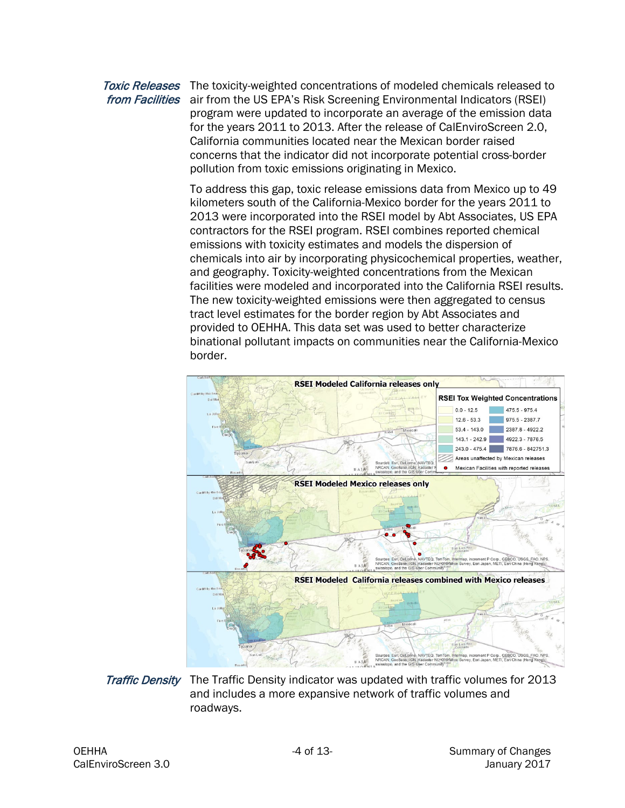#### Toxic Releases The toxicity-weighted concentrations of modeled chemicals released to from Facilities air from the US EPA's Risk Screening Environmental Indicators (RSEI) program were updated to incorporate an average of the emission data for the years 2011 to 2013. After the release of CalEnviroScreen 2.0, California communities located near the Mexican border raised concerns that the indicator did not incorporate potential cross-border pollution from toxic emissions originating in Mexico.

To address this gap, toxic release emissions data from Mexico up to 49 kilometers south of the California-Mexico border for the years 2011 to 2013 were incorporated into the RSEI model by Abt Associates, US EPA contractors for the RSEI program. RSEI combines reported chemical emissions with toxicity estimates and models the dispersion of chemicals into air by incorporating physicochemical properties, weather, and geography. Toxicity-weighted concentrations from the Mexican facilities were modeled and incorporated into the California RSEI results. The new toxicity-weighted emissions were then aggregated to census tract level estimates for the border region by Abt Associates and provided to OEHHA. This data set was used to better characterize binational pollutant impacts on communities near the California-Mexico border.



Traffic Density The Traffic Density indicator was updated with traffic volumes for 2013 and includes a more expansive network of traffic volumes and roadways.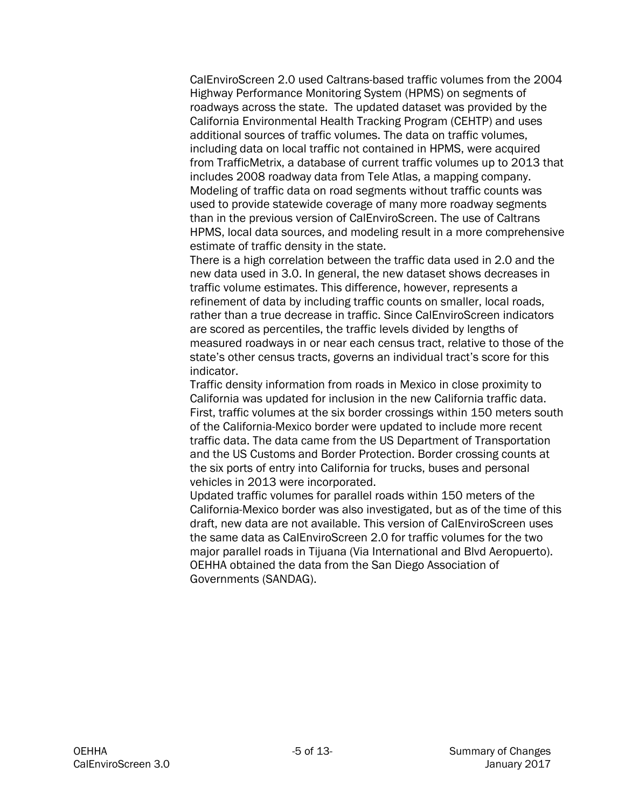CalEnviroScreen 2.0 used Caltrans-based traffic volumes from the 2004 Highway Performance Monitoring System (HPMS) on segments of roadways across the state. The updated dataset was provided by the California Environmental Health Tracking Program (CEHTP) and uses additional sources of traffic volumes. The data on traffic volumes, including data on local traffic not contained in HPMS, were acquired from TrafficMetrix, a database of current traffic volumes up to 2013 that includes 2008 roadway data from Tele Atlas, a mapping company. Modeling of traffic data on road segments without traffic counts was used to provide statewide coverage of many more roadway segments than in the previous version of CalEnviroScreen. The use of Caltrans HPMS, local data sources, and modeling result in a more comprehensive estimate of traffic density in the state.

There is a high correlation between the traffic data used in 2.0 and the new data used in 3.0. In general, the new dataset shows decreases in traffic volume estimates. This difference, however, represents a refinement of data by including traffic counts on smaller, local roads, rather than a true decrease in traffic. Since CalEnviroScreen indicators are scored as percentiles, the traffic levels divided by lengths of measured roadways in or near each census tract, relative to those of the state's other census tracts, governs an individual tract's score for this indicator.

Traffic density information from roads in Mexico in close proximity to California was updated for inclusion in the new California traffic data. First, traffic volumes at the six border crossings within 150 meters south of the California-Mexico border were updated to include more recent traffic data. The data came from the US Department of Transportation and the US Customs and Border Protection. Border crossing counts at the six ports of entry into California for trucks, buses and personal vehicles in 2013 were incorporated.

Updated traffic volumes for parallel roads within 150 meters of the California-Mexico border was also investigated, but as of the time of this draft, new data are not available. This version of CalEnviroScreen uses the same data as CalEnviroScreen 2.0 for traffic volumes for the two major parallel roads in Tijuana (Via International and Blvd Aeropuerto). OEHHA obtained the data from the San Diego Association of Governments (SANDAG).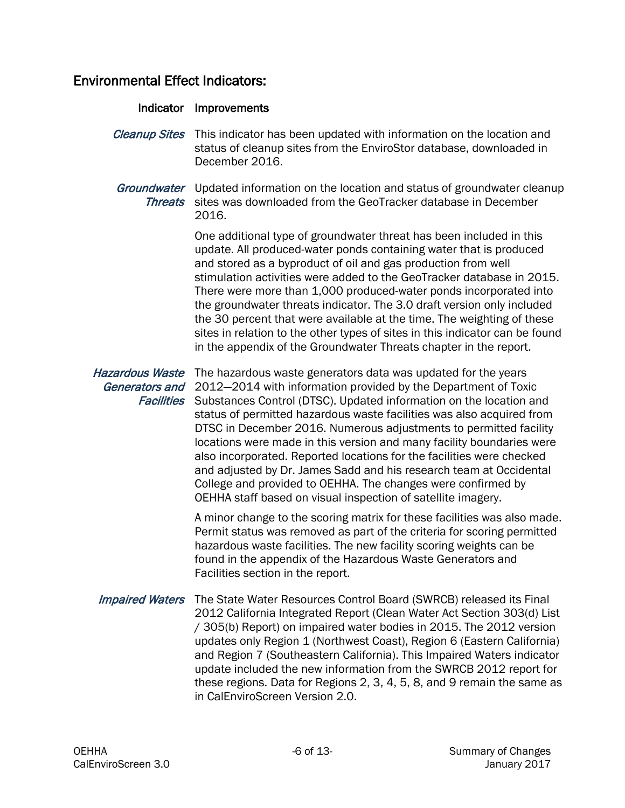# Environmental Effect Indicators:

| Indicator                                                     | Improvements                                                                                                                                                                                                                                                                                                                                                                                                                                                                                                                                                                                                                                                                                                |
|---------------------------------------------------------------|-------------------------------------------------------------------------------------------------------------------------------------------------------------------------------------------------------------------------------------------------------------------------------------------------------------------------------------------------------------------------------------------------------------------------------------------------------------------------------------------------------------------------------------------------------------------------------------------------------------------------------------------------------------------------------------------------------------|
| <b>Cleanup Sites</b>                                          | This indicator has been updated with information on the location and<br>status of cleanup sites from the EnviroStor database, downloaded in<br>December 2016.                                                                                                                                                                                                                                                                                                                                                                                                                                                                                                                                               |
| <b>Threats</b>                                                | <i>Groundwater</i> Updated information on the location and status of groundwater cleanup<br>sites was downloaded from the GeoTracker database in December<br>2016.                                                                                                                                                                                                                                                                                                                                                                                                                                                                                                                                          |
|                                                               | One additional type of groundwater threat has been included in this<br>update. All produced-water ponds containing water that is produced<br>and stored as a byproduct of oil and gas production from well<br>stimulation activities were added to the GeoTracker database in 2015.<br>There were more than 1,000 produced-water ponds incorporated into<br>the groundwater threats indicator. The 3.0 draft version only included<br>the 30 percent that were available at the time. The weighting of these<br>sites in relation to the other types of sites in this indicator can be found<br>in the appendix of the Groundwater Threats chapter in the report.                                           |
| <b>Hazardous Waste</b><br>Generators and<br><b>Facilities</b> | The hazardous waste generators data was updated for the years<br>2012-2014 with information provided by the Department of Toxic<br>Substances Control (DTSC). Updated information on the location and<br>status of permitted hazardous waste facilities was also acquired from<br>DTSC in December 2016. Numerous adjustments to permitted facility<br>locations were made in this version and many facility boundaries were<br>also incorporated. Reported locations for the facilities were checked<br>and adjusted by Dr. James Sadd and his research team at Occidental<br>College and provided to OEHHA. The changes were confirmed by<br>OEHHA staff based on visual inspection of satellite imagery. |
|                                                               | A minor change to the scoring matrix for these facilities was also made.<br>Permit status was removed as part of the criteria for scoring permitted<br>hazardous waste facilities. The new facility scoring weights can be<br>found in the appendix of the Hazardous Waste Generators and<br>Facilities section in the report.                                                                                                                                                                                                                                                                                                                                                                              |
| <b>Impaired Waters</b>                                        | The State Water Resources Control Board (SWRCB) released its Final<br>2012 California Integrated Report (Clean Water Act Section 303(d) List<br>/ 305(b) Report) on impaired water bodies in 2015. The 2012 version<br>updates only Region 1 (Northwest Coast), Region 6 (Eastern California)<br>and Region 7 (Southeastern California). This Impaired Waters indicator<br>update included the new information from the SWRCB 2012 report for<br>these regions. Data for Regions 2, 3, 4, 5, 8, and 9 remain the same as<br>in CalEnviroScreen Version 2.0.                                                                                                                                                 |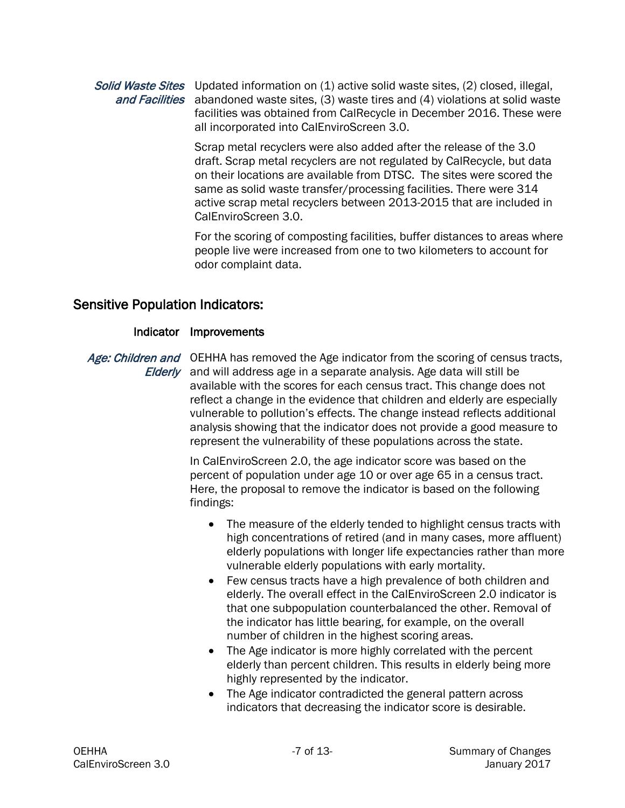#### Solid Waste Sites Updated information on (1) active solid waste sites, (2) closed, illegal, and Facilities abandoned waste sites, (3) waste tires and (4) violations at solid waste facilities was obtained from CalRecycle in December 2016. These were all incorporated into CalEnviroScreen 3.0.

Scrap metal recyclers were also added after the release of the 3.0 draft. Scrap metal recyclers are not regulated by CalRecycle, but data on their locations are available from DTSC. The sites were scored the same as solid waste transfer/processing facilities. There were 314 active scrap metal recyclers between 2013-2015 that are included in CalEnviroScreen 3.0.

For the scoring of composting facilities, buffer distances to areas where people live were increased from one to two kilometers to account for odor complaint data.

## Sensitive Population Indicators:

#### Indicator Improvements

Age: Children and OEHHA has removed the Age indicator from the scoring of census tracts, Elderly and will address age in a separate analysis. Age data will still be available with the scores for each census tract. This change does not reflect a change in the evidence that children and elderly are especially vulnerable to pollution's effects. The change instead reflects additional analysis showing that the indicator does not provide a good measure to represent the vulnerability of these populations across the state.

> In CalEnviroScreen 2.0, the age indicator score was based on the percent of population under age 10 or over age 65 in a census tract. Here, the proposal to remove the indicator is based on the following findings:

- The measure of the elderly tended to highlight census tracts with high concentrations of retired (and in many cases, more affluent) elderly populations with longer life expectancies rather than more vulnerable elderly populations with early mortality.
- Few census tracts have a high prevalence of both children and elderly. The overall effect in the CalEnviroScreen 2.0 indicator is that one subpopulation counterbalanced the other. Removal of the indicator has little bearing, for example, on the overall number of children in the highest scoring areas.
- The Age indicator is more highly correlated with the percent elderly than percent children. This results in elderly being more highly represented by the indicator.
- The Age indicator contradicted the general pattern across indicators that decreasing the indicator score is desirable.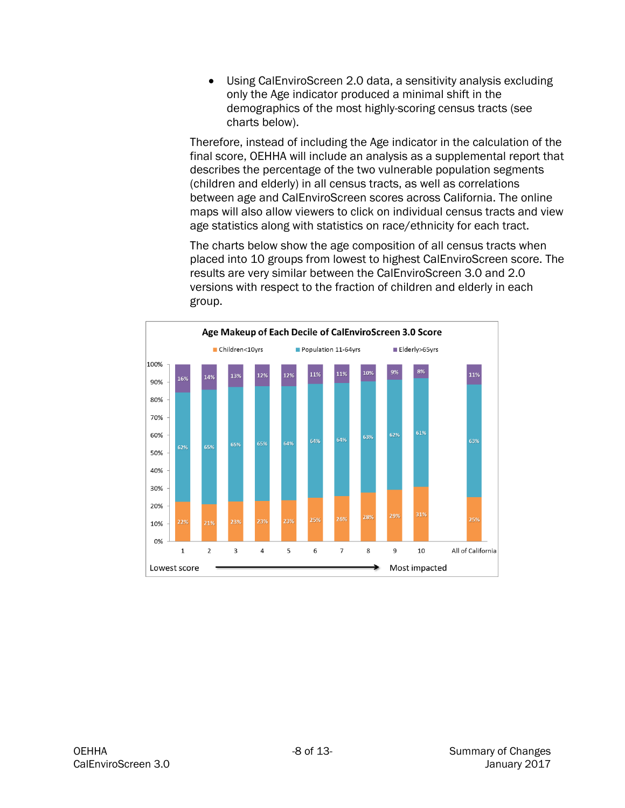• Using CalEnviroScreen 2.0 data, a sensitivity analysis excluding only the Age indicator produced a minimal shift in the demographics of the most highly-scoring census tracts (see charts below).

Therefore, instead of including the Age indicator in the calculation of the final score, OEHHA will include an analysis as a supplemental report that describes the percentage of the two vulnerable population segments (children and elderly) in all census tracts, as well as correlations between age and CalEnviroScreen scores across California. The online maps will also allow viewers to click on individual census tracts and view age statistics along with statistics on race/ethnicity for each tract.

The charts below show the age composition of all census tracts when placed into 10 groups from lowest to highest CalEnviroScreen score. The results are very similar between the CalEnviroScreen 3.0 and 2.0 versions with respect to the fraction of children and elderly in each group.

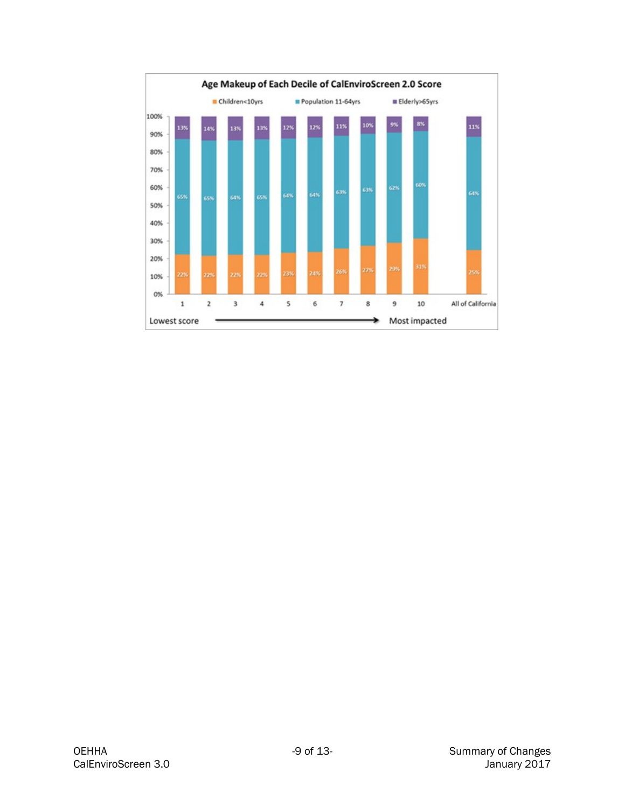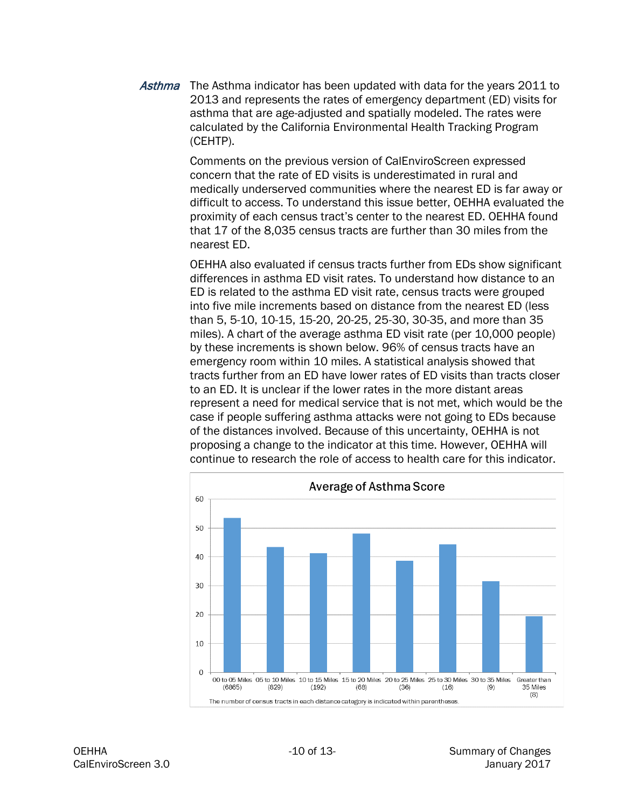Asthma The Asthma indicator has been updated with data for the years 2011 to 2013 and represents the rates of emergency department (ED) visits for asthma that are age-adjusted and spatially modeled. The rates were calculated by the California Environmental Health Tracking Program (CEHTP).

> Comments on the previous version of CalEnviroScreen expressed concern that the rate of ED visits is underestimated in rural and medically underserved communities where the nearest ED is far away or difficult to access. To understand this issue better, OEHHA evaluated the proximity of each census tract's center to the nearest ED. OEHHA found that 17 of the 8,035 census tracts are further than 30 miles from the nearest ED.

> OEHHA also evaluated if census tracts further from EDs show significant differences in asthma ED visit rates. To understand how distance to an ED is related to the asthma ED visit rate, census tracts were grouped into five mile increments based on distance from the nearest ED (less than 5, 5-10, 10-15, 15-20, 20-25, 25-30, 30-35, and more than 35 miles). A chart of the average asthma ED visit rate (per 10,000 people) by these increments is shown below. 96% of census tracts have an emergency room within 10 miles. A statistical analysis showed that tracts further from an ED have lower rates of ED visits than tracts closer to an ED. It is unclear if the lower rates in the more distant areas represent a need for medical service that is not met, which would be the case if people suffering asthma attacks were not going to EDs because of the distances involved. Because of this uncertainty, OEHHA is not proposing a change to the indicator at this time. However, OEHHA will continue to research the role of access to health care for this indicator.

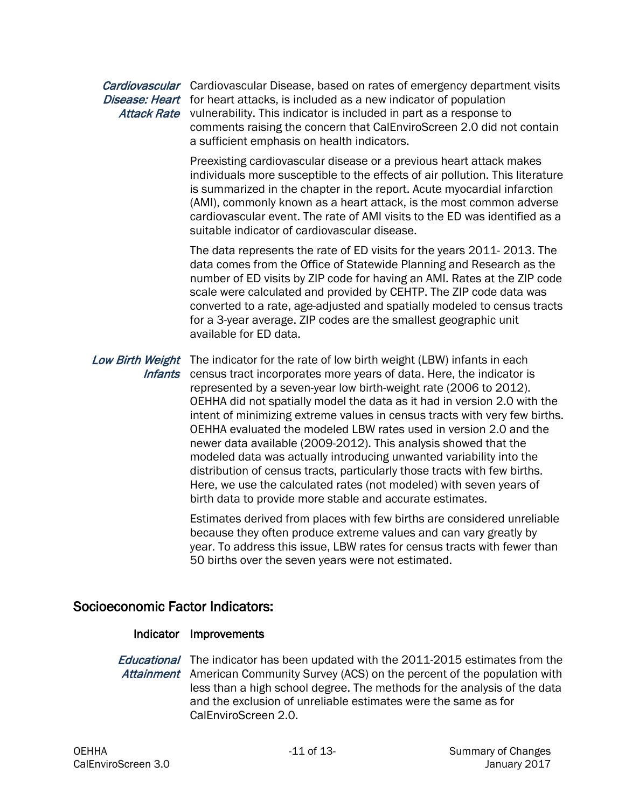#### Cardiovascular Cardiovascular Disease, based on rates of emergency department visits Disease: Heart for heart attacks, is included as a new indicator of population Attack Rate vulnerability. This indicator is included in part as a response to comments raising the concern that CalEnviroScreen 2.0 did not contain a sufficient emphasis on health indicators.

Preexisting cardiovascular disease or a previous heart attack makes individuals more susceptible to the effects of air pollution. This literature is summarized in the chapter in the report. Acute myocardial infarction (AMI), commonly known as a heart attack, is the most common adverse cardiovascular event. The rate of AMI visits to the ED was identified as a suitable indicator of cardiovascular disease.

The data represents the rate of ED visits for the years 2011- 2013. The data comes from the Office of Statewide Planning and Research as the number of ED visits by ZIP code for having an AMI. Rates at the ZIP code scale were calculated and provided by CEHTP. The ZIP code data was converted to a rate, age-adjusted and spatially modeled to census tracts for a 3-year average. ZIP codes are the smallest geographic unit available for ED data.

Low Birth Weight The indicator for the rate of low birth weight (LBW) infants in each Infants census tract incorporates more years of data. Here, the indicator is represented by a seven-year low birth-weight rate (2006 to 2012). OEHHA did not spatially model the data as it had in version 2.0 with the intent of minimizing extreme values in census tracts with very few births. OEHHA evaluated the modeled LBW rates used in version 2.0 and the newer data available (2009-2012). This analysis showed that the modeled data was actually introducing unwanted variability into the distribution of census tracts, particularly those tracts with few births. Here, we use the calculated rates (not modeled) with seven years of birth data to provide more stable and accurate estimates.

> Estimates derived from places with few births are considered unreliable because they often produce extreme values and can vary greatly by year. To address this issue, LBW rates for census tracts with fewer than 50 births over the seven years were not estimated.

### Socioeconomic Factor Indicators:

#### Indicator Improvements

Educational The indicator has been updated with the 2011-2015 estimates from the Attainment American Community Survey (ACS) on the percent of the population with less than a high school degree. The methods for the analysis of the data and the exclusion of unreliable estimates were the same as for CalEnviroScreen 2.0.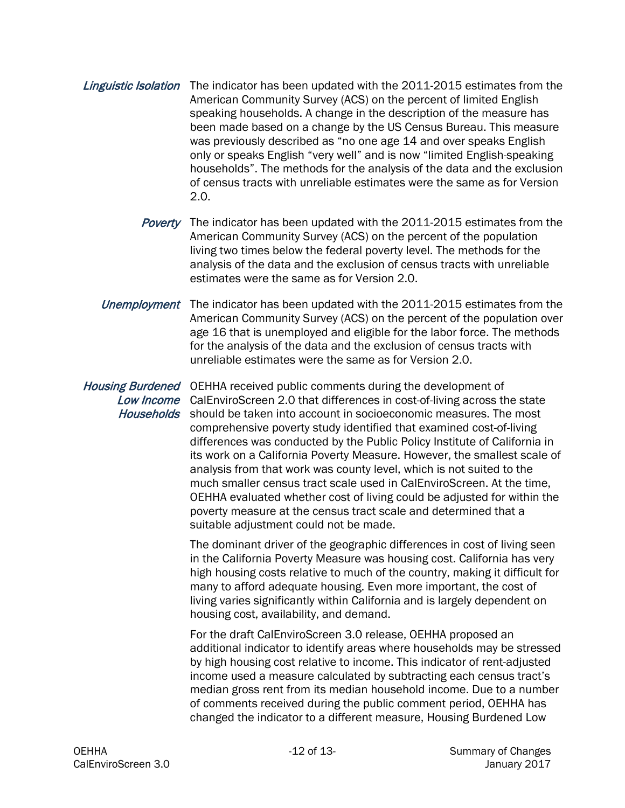- Linguistic Isolation The indicator has been updated with the 2011-2015 estimates from the American Community Survey (ACS) on the percent of limited English speaking households. A change in the description of the measure has been made based on a change by the US Census Bureau. This measure was previously described as "no one age 14 and over speaks English only or speaks English "very well" and is now "limited English-speaking households". The methods for the analysis of the data and the exclusion of census tracts with unreliable estimates were the same as for Version 2.0.
	- Poverty The indicator has been updated with the 2011-2015 estimates from the American Community Survey (ACS) on the percent of the population living two times below the federal poverty level. The methods for the analysis of the data and the exclusion of census tracts with unreliable estimates were the same as for Version 2.0.
	- Unemployment The indicator has been updated with the 2011-2015 estimates from the American Community Survey (ACS) on the percent of the population over age 16 that is unemployed and eligible for the labor force. The methods for the analysis of the data and the exclusion of census tracts with unreliable estimates were the same as for Version 2.0.

Housing Burdened OEHHA received public comments during the development of Low Income CalEnviroScreen 2.0 that differences in cost-of-living across the state Households should be taken into account in socioeconomic measures. The most comprehensive poverty study identified that examined cost-of-living differences was conducted by the Public Policy Institute of California in its work on a California Poverty Measure. However, the smallest scale of analysis from that work was county level, which is not suited to the much smaller census tract scale used in CalEnviroScreen. At the time, OEHHA evaluated whether cost of living could be adjusted for within the poverty measure at the census tract scale and determined that a suitable adjustment could not be made.

> The dominant driver of the geographic differences in cost of living seen in the California Poverty Measure was housing cost. California has very high housing costs relative to much of the country, making it difficult for many to afford adequate housing. Even more important, the cost of living varies significantly within California and is largely dependent on housing cost, availability, and demand.

> For the draft CalEnviroScreen 3.0 release, OEHHA proposed an additional indicator to identify areas where households may be stressed by high housing cost relative to income. This indicator of rent-adjusted income used a measure calculated by subtracting each census tract's median gross rent from its median household income. Due to a number of comments received during the public comment period, OEHHA has changed the indicator to a different measure, Housing Burdened Low